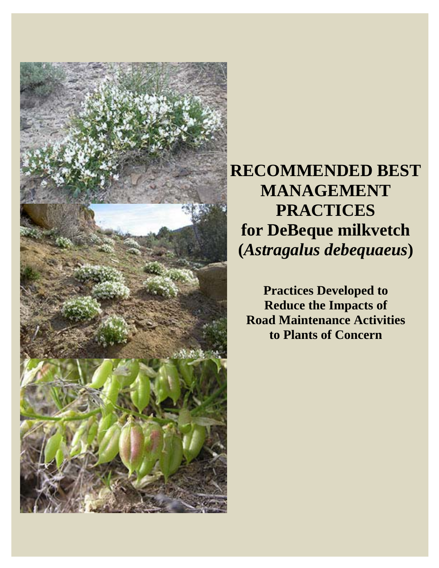

**RECOMMENDED BEST MANAGEMENT PRACTICES for DeBeque milkvetch (***Astragalus debequaeus***)** 

**Practices Developed to Reduce the Impacts of Road Maintenance Activities to Plants of Concern**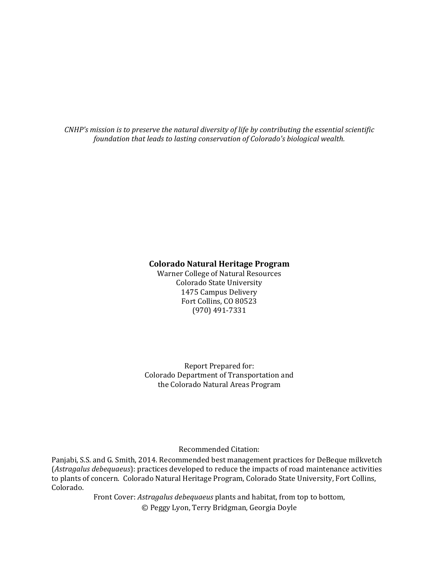*CNHP's mission is to preserve the natural diversity of life by contributing the essential scientific foundation that leads to lasting conservation of Colorado's biological wealth.*

#### **Colorado Natural Heritage Program**

Warner College of Natural Resources Colorado State University 1475 Campus Delivery Fort Collins, CO 80523 (970) 491‐7331 

Report Prepared for: Colorado Department of Transportation and the Colorado Natural Areas Program

Recommended Citation: 

Panjabi, S.S. and G. Smith, 2014. Recommended best management practices for DeBeque milkvetch (Astragalus debequaeus): practices developed to reduce the impacts of road maintenance activities to plants of concern. Colorado Natural Heritage Program, Colorado State University, Fort Collins, Colorado. 

> Front Cover: Astragalus debequaeus plants and habitat, from top to bottom, © Peggy Lyon, Terry Bridgman, Georgia Doyle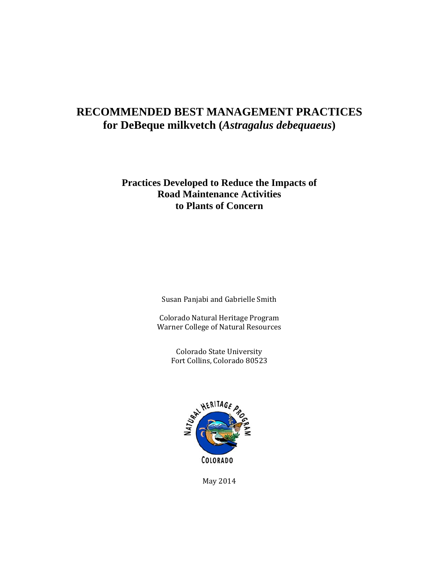## **RECOMMENDED BEST MANAGEMENT PRACTICES for DeBeque milkvetch (***Astragalus debequaeus***)**

## **Practices Developed to Reduce the Impacts of Road Maintenance Activities to Plants of Concern**

Susan Panjabi and Gabrielle Smith

Colorado Natural Heritage Program Warner College of Natural Resources

> Colorado State University Fort Collins, Colorado 80523



May 2014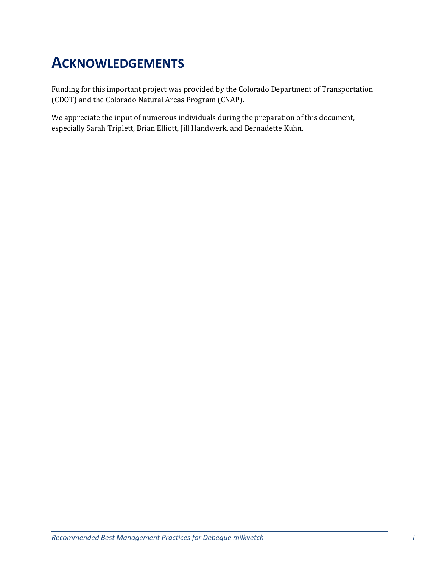## **ACKNOWLEDGEMENTS**

Funding for this important project was provided by the Colorado Department of Transportation (CDOT) and the Colorado Natural Areas Program (CNAP).

We appreciate the input of numerous individuals during the preparation of this document, especially Sarah Triplett, Brian Elliott, Jill Handwerk, and Bernadette Kuhn.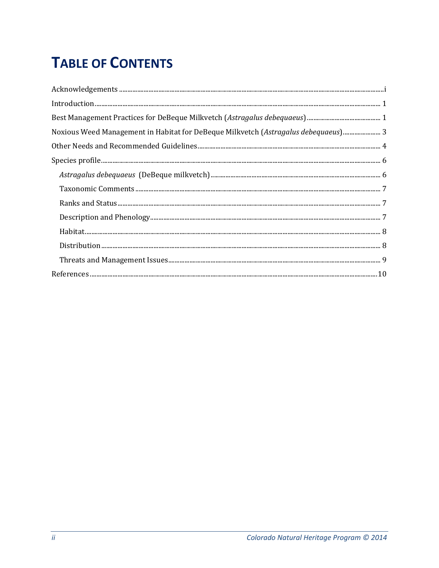# **TABLE OF CONTENTS**

| Noxious Weed Management in Habitat for DeBeque Milkvetch (Astragalus debequaeus) 3                                                                                                                                                                                                                                                                                                             |
|------------------------------------------------------------------------------------------------------------------------------------------------------------------------------------------------------------------------------------------------------------------------------------------------------------------------------------------------------------------------------------------------|
|                                                                                                                                                                                                                                                                                                                                                                                                |
| $\textsc{Species profile} \textit{} \textit{} \textit{} \textit{} \textit{} \textit{} \textit{} \textit{} \textit{} \textit{} \textit{} \textit{} \textit{} \textit{} \textit{} \textit{} \textit{} \textit{} \textit{} \textit{} \textit{} \textit{} \textit{} \textit{} \textit{} \textit{} \textit{} \textit{} \textit{} \textit{} \textit{} \textit{} \textit{} \textit{} \textit{} \text$ |
|                                                                                                                                                                                                                                                                                                                                                                                                |
|                                                                                                                                                                                                                                                                                                                                                                                                |
|                                                                                                                                                                                                                                                                                                                                                                                                |
|                                                                                                                                                                                                                                                                                                                                                                                                |
|                                                                                                                                                                                                                                                                                                                                                                                                |
|                                                                                                                                                                                                                                                                                                                                                                                                |
|                                                                                                                                                                                                                                                                                                                                                                                                |
|                                                                                                                                                                                                                                                                                                                                                                                                |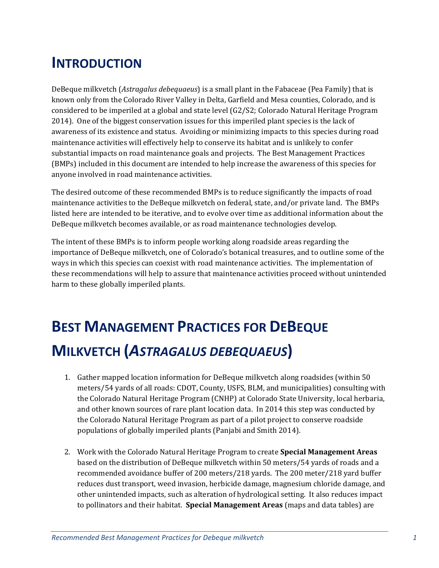## **INTRODUCTION**

DeBeque milkvetch (*Astragalus debequaeus*) is a small plant in the Fabaceae (Pea Family) that is known only from the Colorado River Valley in Delta, Garfield and Mesa counties, Colorado, and is considered to be imperiled at a global and state level (G2/S2; Colorado Natural Heritage Program 2014). One of the biggest conservation issues for this imperiled plant species is the lack of awareness of its existence and status. Avoiding or minimizing impacts to this species during road maintenance activities will effectively help to conserve its habitat and is unlikely to confer substantial impacts on road maintenance goals and projects. The Best Management Practices (BMPs) included in this document are intended to help increase the awareness of this species for anyone involved in road maintenance activities.

The desired outcome of these recommended BMPs is to reduce significantly the impacts of road maintenance activities to the DeBeque milkvetch on federal, state, and/or private land. The BMPs listed here are intended to be iterative, and to evolve over time as additional information about the DeBeque milkvetch becomes available, or as road maintenance technologies develop.

The intent of these BMPs is to inform people working along roadside areas regarding the importance of DeBeque milkvetch, one of Colorado's botanical treasures, and to outline some of the ways in which this species can coexist with road maintenance activities. The implementation of these recommendations will help to assure that maintenance activities proceed without unintended harm to these globally imperiled plants.

# **BEST MANAGEMENT PRACTICES FOR DEBEQUE MILKVETCH (***ASTRAGALUS DEBEQUAEUS***)**

- 1. Gather mapped location information for DeBeque milkvetch along roadsides (within 50) meters/54 yards of all roads: CDOT, County, USFS, BLM, and municipalities) consulting with the Colorado Natural Heritage Program (CNHP) at Colorado State University, local herbaria, and other known sources of rare plant location data. In 2014 this step was conducted by the Colorado Natural Heritage Program as part of a pilot project to conserve roadside populations of globally imperiled plants (Panjabi and Smith 2014).
- 2. Work with the Colorado Natural Heritage Program to create **Special Management Areas** based on the distribution of DeBeque milkvetch within 50 meters/54 yards of roads and a recommended avoidance buffer of 200 meters/218 yards. The 200 meter/218 yard buffer reduces dust transport, weed invasion, herbicide damage, magnesium chloride damage, and other unintended impacts, such as alteration of hydrological setting. It also reduces impact to pollinators and their habitat. **Special Management Areas** (maps and data tables) are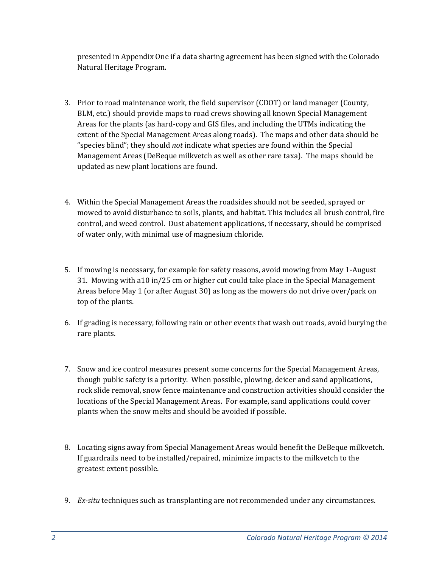presented in Appendix One if a data sharing agreement has been signed with the Colorado Natural Heritage Program.

- 3. Prior to road maintenance work, the field supervisor (CDOT) or land manager (County, BLM, etc.) should provide maps to road crews showing all known Special Management Areas for the plants (as hard-copy and GIS files, and including the UTMs indicating the extent of the Special Management Areas along roads). The maps and other data should be "species blind"; they should *not* indicate what species are found within the Special Management Areas (DeBeque milkvetch as well as other rare taxa). The maps should be updated as new plant locations are found.
- 4. Within the Special Management Areas the roadsides should not be seeded, sprayed or mowed to avoid disturbance to soils, plants, and habitat. This includes all brush control, fire control, and weed control. Dust abatement applications, if necessary, should be comprised of water only, with minimal use of magnesium chloride.
- 5. If mowing is necessary, for example for safety reasons, avoid mowing from May 1-August 31. Mowing with a10 in/25 cm or higher cut could take place in the Special Management Areas before May 1 (or after August 30) as long as the mowers do not drive over/park on top of the plants.
- 6. If grading is necessary, following rain or other events that wash out roads, avoid burying the rare plants.
- 7. Snow and ice control measures present some concerns for the Special Management Areas, though public safety is a priority. When possible, plowing, deicer and sand applications, rock slide removal, snow fence maintenance and construction activities should consider the locations of the Special Management Areas. For example, sand applications could cover plants when the snow melts and should be avoided if possible.
- 8. Locating signs away from Special Management Areas would benefit the DeBeque milkvetch. If guardrails need to be installed/repaired, minimize impacts to the milkvetch to the greatest extent possible.
- 9. *Ex-situ* techniques such as transplanting are not recommended under any circumstances.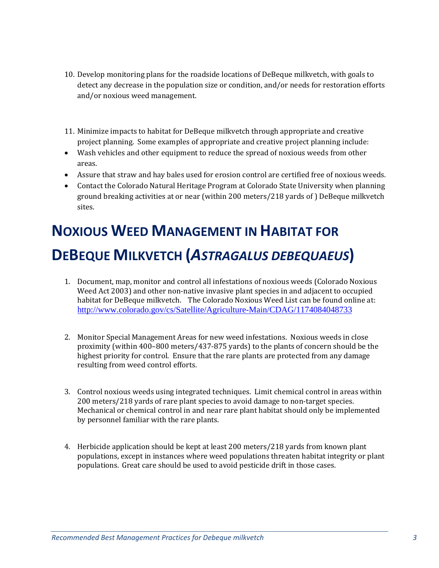- 10. Develop monitoring plans for the roadside locations of DeBeque milkvetch, with goals to detect any decrease in the population size or condition, and/or needs for restoration efforts and/or noxious weed management.
- 11. Minimize impacts to habitat for DeBeque milkvetch through appropriate and creative project planning. Some examples of appropriate and creative project planning include:
- Wash vehicles and other equipment to reduce the spread of noxious weeds from other areas.
- Assure that straw and hay bales used for erosion control are certified free of noxious weeds.
- Contact the Colorado Natural Heritage Program at Colorado State University when planning ground breaking activities at or near (within 200 meters/218 yards of) DeBeque milkvetch sites.

# **NOXIOUS WEED MANAGEMENT IN HABITAT FOR DEBEQUE MILKVETCH (***ASTRAGALUS DEBEQUAEUS***)**

- 1. Document, map, monitor and control all infestations of noxious weeds (Colorado Noxious Weed Act 2003) and other non-native invasive plant species in and adjacent to occupied habitat for DeBeque milkvetch. The Colorado Noxious Weed List can be found online at: http://www.colorado.gov/cs/Satellite/Agriculture-Main/CDAG/1174084048733
- 2. Monitor Special Management Areas for new weed infestations. Noxious weeds in close proximity (within  $400-800$  meters/437-875 yards) to the plants of concern should be the highest priority for control. Ensure that the rare plants are protected from any damage resulting from weed control efforts.
- 3. Control noxious weeds using integrated techniques. Limit chemical control in areas within 200 meters/218 yards of rare plant species to avoid damage to non-target species. Mechanical or chemical control in and near rare plant habitat should only be implemented by personnel familiar with the rare plants.
- 4. Herbicide application should be kept at least 200 meters/218 yards from known plant populations, except in instances where weed populations threaten habitat integrity or plant populations. Great care should be used to avoid pesticide drift in those cases.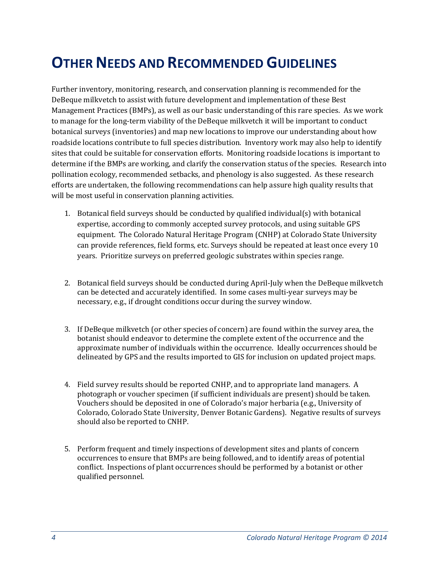## **OTHER NEEDS AND RECOMMENDED GUIDELINES**

Further inventory, monitoring, research, and conservation planning is recommended for the DeBeque milkvetch to assist with future development and implementation of these Best Management Practices (BMPs), as well as our basic understanding of this rare species. As we work to manage for the long-term viability of the DeBeque milkvetch it will be important to conduct botanical surveys (inventories) and map new locations to improve our understanding about how roadside locations contribute to full species distribution. Inventory work may also help to identify sites that could be suitable for conservation efforts. Monitoring roadside locations is important to determine if the BMPs are working, and clarify the conservation status of the species. Research into pollination ecology, recommended setbacks, and phenology is also suggested. As these research efforts are undertaken, the following recommendations can help assure high quality results that will be most useful in conservation planning activities.

- 1. Botanical field surveys should be conducted by qualified individual(s) with botanical expertise, according to commonly accepted survey protocols, and using suitable GPS equipment. The Colorado Natural Heritage Program (CNHP) at Colorado State University can provide references, field forms, etc. Surveys should be repeated at least once every 10 years. Prioritize surveys on preferred geologic substrates within species range.
- 2. Botanical field surveys should be conducted during April-July when the DeBeque milkvetch can be detected and accurately identified. In some cases multi-year surveys may be necessary, e.g., if drought conditions occur during the survey window.
- 3. If DeBeque milkvetch (or other species of concern) are found within the survey area, the botanist should endeavor to determine the complete extent of the occurrence and the approximate number of individuals within the occurrence. Ideally occurrences should be delineated by GPS and the results imported to GIS for inclusion on updated project maps.
- 4. Field survey results should be reported CNHP, and to appropriate land managers. A photograph or voucher specimen (if sufficient individuals are present) should be taken. Vouchers should be deposited in one of Colorado's major herbaria (e.g., University of Colorado, Colorado State University, Denver Botanic Gardens). Negative results of surveys should also be reported to CNHP.
- 5. Perform frequent and timely inspections of development sites and plants of concern occurrences to ensure that BMPs are being followed, and to identify areas of potential conflict. Inspections of plant occurrences should be performed by a botanist or other qualified personnel.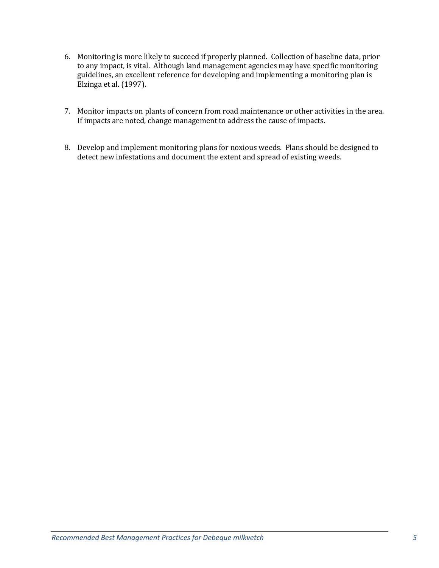- 6. Monitoring is more likely to succeed if properly planned. Collection of baseline data, prior to any impact, is vital. Although land management agencies may have specific monitoring guidelines, an excellent reference for developing and implementing a monitoring plan is Elzinga et al. (1997).
- 7. Monitor impacts on plants of concern from road maintenance or other activities in the area. If impacts are noted, change management to address the cause of impacts.
- 8. Develop and implement monitoring plans for noxious weeds. Plans should be designed to detect new infestations and document the extent and spread of existing weeds.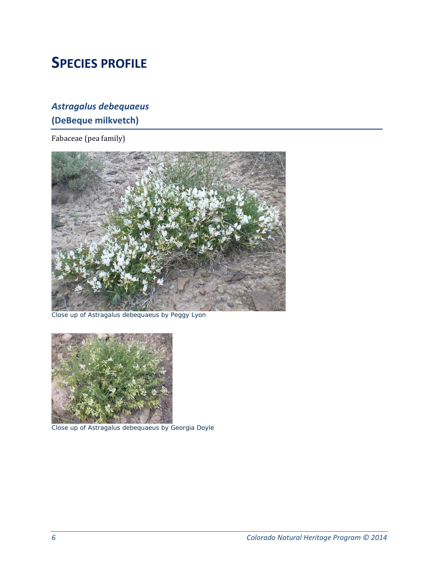## **SPECIES PROFILE**

## *Astragalus debequaeus* **(DeBeque milkvetch)**

Fabaceae (pea family)



Close up of *Astragalus debequaeus* by Peggy Lyon



Close up of *Astragalus debequaeus* by Georgia Doyle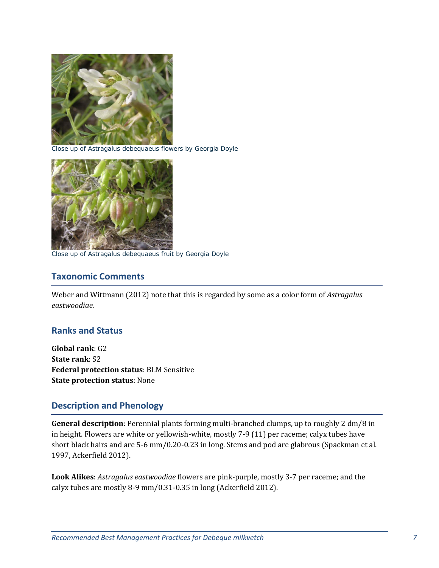

Close up of *Astragalus debequaeus* flowers by Georgia Doyle



Close up of *Astragalus debequaeus* fruit by Georgia Doyle

### **Taxonomic Comments**

Weber and Wittmann (2012) note that this is regarded by some as a color form of *Astragalus eastwoodiae.*

#### **Ranks and Status**

**Global rank**: G2 **State rank**: S2 **Federal protection status**: BLM Sensitive **State protection status**: None 

## **Description and Phenology**

**General description**: Perennial plants forming multi-branched clumps, up to roughly 2 dm/8 in in height. Flowers are white or yellowish-white, mostly 7-9 (11) per raceme; calyx tubes have short black hairs and are 5-6 mm/0.20-0.23 in long. Stems and pod are glabrous (Spackman et al. 1997, Ackerfield 2012).

**Look Alikes**: *Astragalus eastwoodiae* flowers are pink-purple, mostly 3-7 per raceme; and the calyx tubes are mostly 8-9 mm/0.31-0.35 in long (Ackerfield 2012).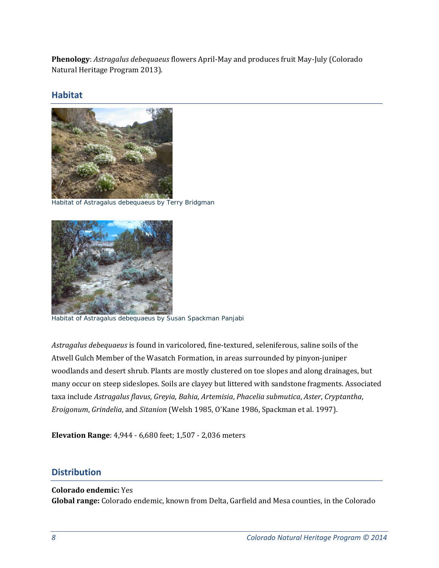**Phenology**: Astragalus debequaeus flowers April-May and produces fruit May-July (Colorado Natural Heritage Program 2013).

### **Habitat**



Habitat of *Astragalus debequaeus* by Terry Bridgman



Habitat of *Astragalus debequaeus* by Susan Spackman Panjabi

Astragalus *debequaeus* is found in varicolored, fine-textured, seleniferous, saline soils of the Atwell Gulch Member of the Wasatch Formation, in areas surrounded by pinyon-juniper woodlands and desert shrub. Plants are mostly clustered on toe slopes and along drainages, but many occur on steep sideslopes. Soils are clayey but littered with sandstone fragments. Associated taxa include *Astragalus flavus*, *Greyia*, *Bahia*, *Artemisia*, *Phacelia submutica*, *Aster*, *Cryptantha*, *Eroigonum, Grindelia,* and *Sitanion* (Welsh 1985, O'Kane 1986, Spackman et al. 1997).

**Elevation Range:** 4,944 - 6,680 feet; 1,507 - 2,036 meters

### **Distribution**

### **Colorado endemic:** Yes Global range: Colorado endemic, known from Delta, Garfield and Mesa counties, in the Colorado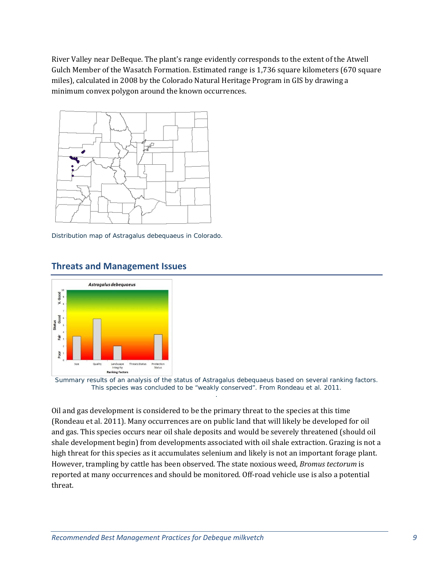River Valley near DeBeque. The plant's range evidently corresponds to the extent of the Atwell Gulch Member of the Wasatch Formation. Estimated range is 1,736 square kilometers (670 square miles), calculated in 2008 by the Colorado Natural Heritage Program in GIS by drawing a minimum convex polygon around the known occurrences.



Distribution map of *Astragalus debequaeus* in Colorado.



### **Threats and Management Issues**

Summary results of an analysis of the status of *Astragalus debequaeus* based on several ranking factors. This species was concluded to be "weakly conserved". From Rondeau et al. 2011. .

Oil and gas development is considered to be the primary threat to the species at this time (Rondeau et al. 2011). Many occurrences are on public land that will likely be developed for oil and gas. This species occurs near oil shale deposits and would be severely threatened (should oil shale development begin) from developments associated with oil shale extraction. Grazing is not a high threat for this species as it accumulates selenium and likely is not an important forage plant. However, trampling by cattle has been observed. The state noxious weed, *Bromus tectorum* is reported at many occurrences and should be monitored. Off-road vehicle use is also a potential threat.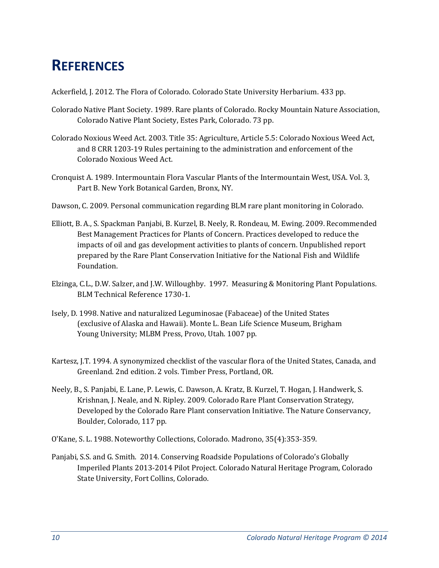## **REFERENCES**

Ackerfield, J. 2012. The Flora of Colorado. Colorado State University Herbarium. 433 pp.

- Colorado Native Plant Society. 1989. Rare plants of Colorado. Rocky Mountain Nature Association, Colorado Native Plant Society, Estes Park, Colorado. 73 pp.
- Colorado Noxious Weed Act. 2003. Title 35: Agriculture, Article 5.5: Colorado Noxious Weed Act, and 8 CRR 1203-19 Rules pertaining to the administration and enforcement of the Colorado Noxious Weed Act.
- Cronquist A. 1989. Intermountain Flora Vascular Plants of the Intermountain West, USA. Vol. 3, Part B. New York Botanical Garden, Bronx, NY.
- Dawson, C. 2009. Personal communication regarding BLM rare plant monitoring in Colorado.
- Elliott, B. A., S. Spackman Panjabi, B. Kurzel, B. Neely, R. Rondeau, M. Ewing. 2009. Recommended Best Management Practices for Plants of Concern. Practices developed to reduce the impacts of oil and gas development activities to plants of concern. Unpublished report prepared by the Rare Plant Conservation Initiative for the National Fish and Wildlife Foundation.
- Elzinga, C.L., D.W. Salzer, and J.W. Willoughby. 1997. Measuring & Monitoring Plant Populations. BLM Technical Reference 1730-1.
- Isely, D. 1998. Native and naturalized Leguminosae (Fabaceae) of the United States (exclusive of Alaska and Hawaii). Monte L. Bean Life Science Museum, Brigham Young University; MLBM Press, Provo, Utah. 1007 pp.
- Kartesz, J.T. 1994. A synonymized checklist of the vascular flora of the United States, Canada, and Greenland, 2nd edition, 2 vols. Timber Press, Portland, OR.
- Neely, B., S. Panjabi, E. Lane, P. Lewis, C. Dawson, A. Kratz, B. Kurzel, T. Hogan, J. Handwerk, S. Krishnan, J. Neale, and N. Ripley. 2009. Colorado Rare Plant Conservation Strategy, Developed by the Colorado Rare Plant conservation Initiative. The Nature Conservancy, Boulder, Colorado, 117 pp.
- O'Kane, S. L. 1988. Noteworthy Collections, Colorado. Madrono, 35(4):353-359.
- Panjabi, S.S. and G. Smith. 2014. Conserving Roadside Populations of Colorado's Globally Imperiled Plants 2013-2014 Pilot Project. Colorado Natural Heritage Program, Colorado State University, Fort Collins, Colorado.